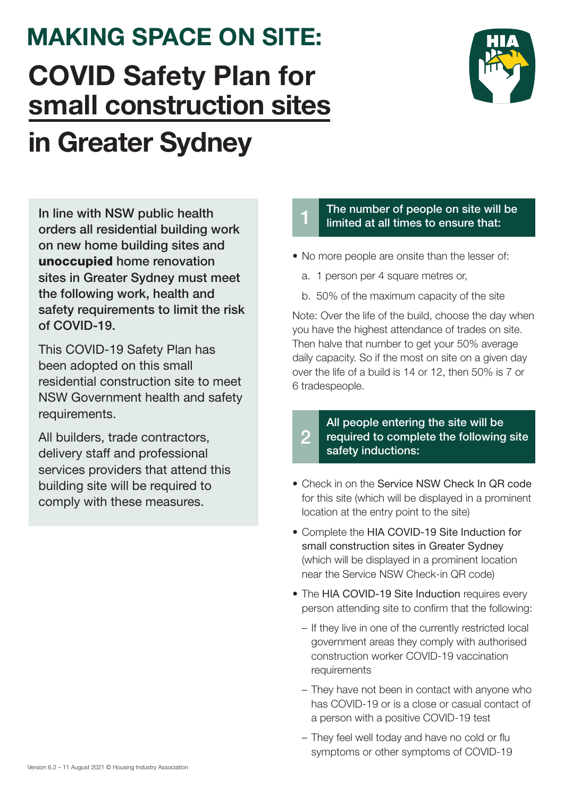1 The number of people on site will be limited at all times to ensure that:

- No more people are onsite than the lesser of:
	- a. 1 person per 4 square metres or,
	- b. 50% of the maximum capacity of the site

- Check in on the Service NSW Check In QR code for this site (which will be displayed in a prominent location at the entry point to the site)
- Complete the HIA COVID-19 Site Induction for small construction sites in Greater Sydney (which will be displayed in a prominent location near the Service NSW Check-in QR code)
- The HIA COVID-19 Site Induction requires every

## 2 All people entering the site will be required to complete the following site safety inductions:

Note: Over the life of the build, choose the day when you have the highest attendance of trades on site. Then halve that number to get your 50% average daily capacity. So if the most on site on a given day over the life of a build is 14 or 12, then 50% is 7 or 6 tradespeople.

person attending site to confirm that the following:

- If they live in one of the currently restricted local government areas they comply with authorised construction worker COVID-19 vaccination requirements
- They have not been in contact with anyone who has COVID-19 or is a close or casual contact of a person with a positive COVID-19 test
- They feel well today and have no cold or flu symptoms or other symptoms of COVID-19

In line with NSW public health orders all residential building work on new home building sites and unoccupied home renovation sites in Greater Sydney must meet the following work, health and safety requirements to limit the risk of COVID-19.

## MAKING SPACE ON SITE: COVID Safety Plan for small construction sites in Greater Sydney



This COVID-19 Safety Plan has been adopted on this small residential construction site to meet NSW Government health and safety requirements.

All builders, trade contractors, delivery staff and professional services providers that attend this building site will be required to comply with these measures.